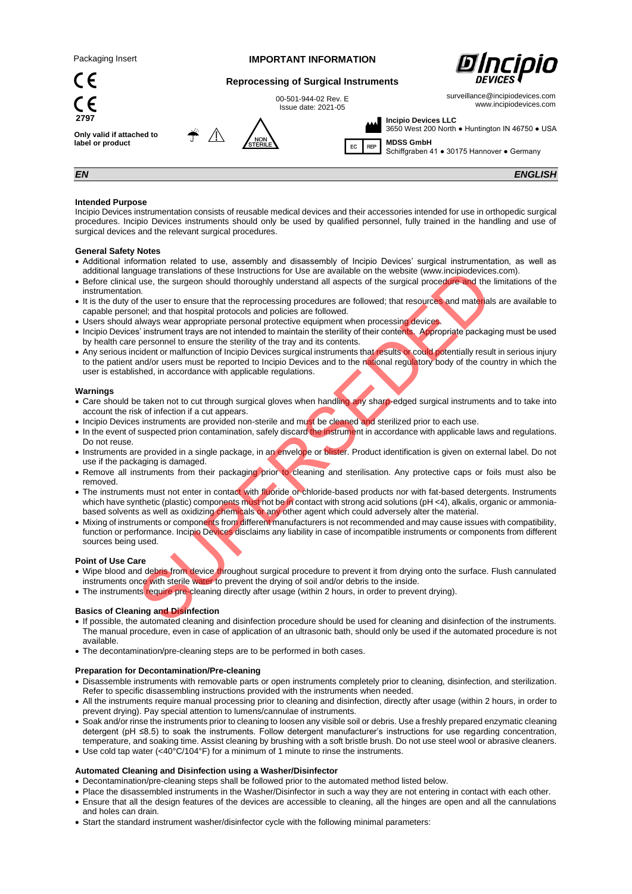$\epsilon$ 

 $\zeta$ 

**2797**

## **IMPORTANT INFORMATION**



surveillance@incipiodevices.com www.incipiodevices.com

# **Reprocessing of Surgical Instruments**

00-501-944-02 Rev. E Issue date: 2021-05

**Only valid if attached to label or product**



M  $EC$  REP **Incipio Devices LLC** 3650 West 200 North ● Huntington IN 46750 ● USA **MDSS GmbH**

Schiffgraben 41 ● 30175 Hannover ● Germany

*EN ENGLISH*

## **Intended Purpose**

Incipio Devices instrumentation consists of reusable medical devices and their accessories intended for use in orthopedic surgical procedures. Incipio Devices instruments should only be used by qualified personnel, fully trained in the handling and use of surgical devices and the relevant surgical procedures.

### **General Safety Notes**

- Additional information related to use, assembly and disassembly of Incipio Devices' surgical instrumentation, as well as additional language translations of these Instructions for Use are available on the website (www.incipiodevices.com).
- Before clinical use, the surgeon should thoroughly understand all aspects of the surgical procedure and the limitations of the instrumentation.
- It is the duty of the user to ensure that the reprocessing procedures are followed: that resources and materials are available to capable personel; and that hospital protocols and policies are followed.
- Users should always wear appropriate personal protective equipment when processing devices.
- Incipio Devices' instrument trays are not intended to maintain the sterility of their contents. Appropriate packaging must be used by health care personnel to ensure the sterility of the tray and its contents.
- Any serious incident or malfunction of Incipio Devices surgical instruments that results or could potentially result in serious injury to the patient and/or users must be reported to Incipio Devices and to the national regulatory body of the country in which the user is established, in accordance with applicable regulations.

### **Warnings**

- Care should be taken not to cut through surgical gloves when handling any sharp-edged surgical instruments and to take into account the risk of infection if a cut appears.
- Incipio Devices instruments are provided non-sterile and must be cleaned and sterilized prior to each use.
- In the event of suspected prion contamination, safely discard the instrument in accordance with applicable laws and regulations. Do not reuse.
- Instruments are provided in a single package, in an envelope or blister. Product identification is given on external label. Do not use if the packaging is damaged.
- Remove all instruments from their packaging prior to cleaning and sterilisation. Any protective caps or foils must also be removed.
- The instruments must not enter in contact with fluoride or chloride-based products nor with fat-based detergents. Instruments which have synthetic (plastic) components must not be in contact with strong acid solutions (pH <4), alkalis, organic or ammoniabased solvents as well as oxidizing chemicals or any other agent which could adversely alter the material. utige translations of these Instructions for Use are available on the website (www.incipiodevice-<br>the surgeon should thoroughly understand all aspects of the surgical procedure and the<br>net. The user to ensure that the repr
- Mixing of instruments or components from different manufacturers is not recommended and may cause issues with compatibility, function or performance. Incipio Devices disclaims any liability in case of incompatible instruments or components from different sources being used.

### **Point of Use Care**

- Wipe blood and debris from device throughout surgical procedure to prevent it from drying onto the surface. Flush cannulated instruments once with sterile water to prevent the drying of soil and/or debris to the inside.
- The instruments require pre-cleaning directly after usage (within 2 hours, in order to prevent drying).

## **Basics of Cleaning and Disinfection**

- If possible, the automated cleaning and disinfection procedure should be used for cleaning and disinfection of the instruments. The manual procedure, even in case of application of an ultrasonic bath, should only be used if the automated procedure is not available.
- The decontamination/pre-cleaning steps are to be performed in both cases.

### **Preparation for Decontamination/Pre-cleaning**

- Disassemble instruments with removable parts or open instruments completely prior to cleaning, disinfection, and sterilization. Refer to specific disassembling instructions provided with the instruments when needed.
- All the instruments require manual processing prior to cleaning and disinfection, directly after usage (within 2 hours, in order to prevent drying). Pay special attention to lumens/cannulae of instruments.
- Soak and/or rinse the instruments prior to cleaning to loosen any visible soil or debris. Use a freshly prepared enzymatic cleaning detergent (pH ≤8.5) to soak the instruments. Follow detergent manufacturer's instructions for use regarding concentration, temperature, and soaking time. Assist cleaning by brushing with a soft bristle brush. Do not use steel wool or abrasive cleaners.
- Use cold tap water (<40°C/104°F) for a minimum of 1 minute to rinse the instruments.

## **Automated Cleaning and Disinfection using a Washer/Disinfector**

- Decontamination/pre-cleaning steps shall be followed prior to the automated method listed below.
- Place the disassembled instruments in the Washer/Disinfector in such a way they are not entering in contact with each other.
- Ensure that all the design features of the devices are accessible to cleaning, all the hinges are open and all the cannulations and holes can drain.
- Start the standard instrument washer/disinfector cycle with the following minimal parameters: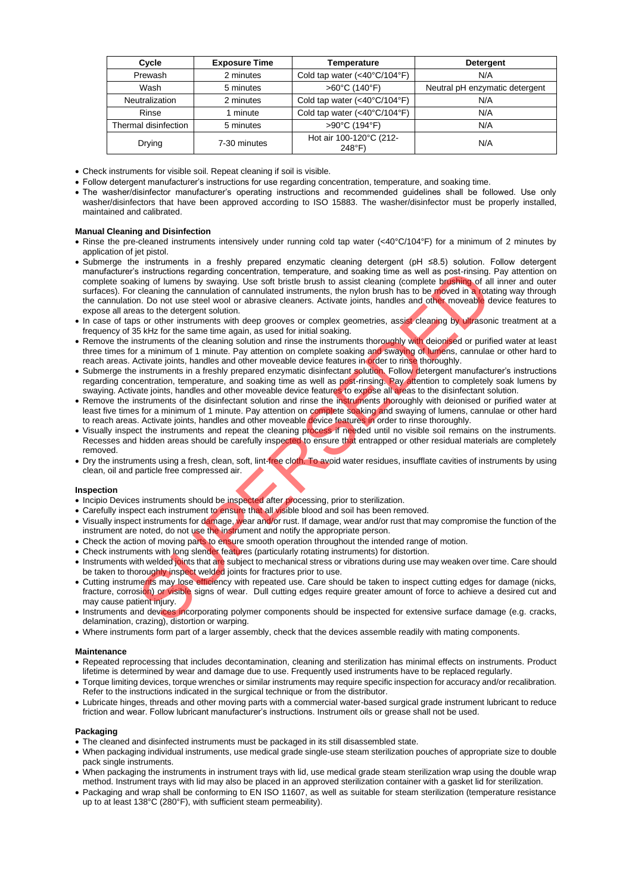| Cycle                 | <b>Exposure Time</b>                                      | Temperature                  | Detergent                      |
|-----------------------|-----------------------------------------------------------|------------------------------|--------------------------------|
| Prewash               | 2 minutes                                                 | Cold tap water (<40°C/104°F) | N/A                            |
| Wash                  | 5 minutes                                                 | >60°C (140°F)                | Neutral pH enzymatic detergent |
| <b>Neutralization</b> | 2 minutes                                                 | Cold tap water (<40°C/104°F) | N/A                            |
| Rinse                 | I minute                                                  | Cold tap water (<40°C/104°F) | N/A                            |
| Thermal disinfection  | 5 minutes                                                 | >90°C (194°F)                | N/A                            |
| Drying                | Hot air 100-120°C (212-<br>7-30 minutes<br>$248^{\circ}F$ |                              | N/A                            |

• Check instruments for visible soil. Repeat cleaning if soil is visible.

- Follow detergent manufacturer's instructions for use regarding concentration, temperature, and soaking time.
- The washer/disinfector manufacturer's operating instructions and recommended guidelines shall be followed. Use only washer/disinfectors that have been approved according to ISO 15883. The washer/disinfector must be properly installed, maintained and calibrated.

## **Manual Cleaning and Disinfection**

- Rinse the pre-cleaned instruments intensively under running cold tap water (<40°C/104°F) for a minimum of 2 minutes by application of jet pistol.
- Submerge the instruments in a freshly prepared enzymatic cleaning detergent (pH ≤8.5) solution. Follow detergent manufacturer's instructions regarding concentration, temperature, and soaking time as well as post-rinsing. Pay attention on complete soaking of lumens by swaying. Use soft bristle brush to assist cleaning (complete brushing of all inner and outer surfaces). For cleaning the cannulation of cannulated instruments, the nylon brush has to be moved in a rotating way through the cannulation. Do not use steel wool or abrasive cleaners. Activate joints, handles and other moveable device features to expose all areas to the detergent solution. is instructions regarding concentration, temperature, and sociality thins as well as post-ringing.<br>
in ing of lumens by swaying. Use soft bristle brush to assist cleaning (complete brushing of all<br>cleaning the cannulation
- In case of taps or other instruments with deep grooves or complex geometries, assist cleaning by ultrasonic treatment at a frequency of 35 kHz for the same time again, as used for initial soaking.
- Remove the instruments of the cleaning solution and rinse the instruments thoroughly with deionised or purified water at least three times for a minimum of 1 minute. Pay attention on complete soaking and swaying of lumens, cannulae or other hard to reach areas. Activate joints, handles and other moveable device features in order to rinse thoroughly.
- Submerge the instruments in a freshly prepared enzymatic disinfectant solution. Follow detergent manufacturer's instructions regarding concentration, temperature, and soaking time as well as post-rinsing. Pay attention to completely soak lumens by swaying. Activate joints, handles and other moveable device features to expose all areas to the disinfectant solution.
- Remove the instruments of the disinfectant solution and rinse the instruments thoroughly with deionised or purified water at least five times for a minimum of 1 minute. Pay attention on complete soaking and swaying of lumens, cannulae or other hard to reach areas. Activate joints, handles and other moveable device features in order to rinse thoroughly.
- Visually inspect the instruments and repeat the cleaning process if needed until no visible soil remains on the instruments. Recesses and hidden areas should be carefully inspected to ensure that entrapped or other residual materials are completely removed.
- Dry the instruments using a fresh, clean, soft, lint-free cloth. To avoid water residues, insufflate cavities of instruments by using clean, oil and particle free compressed air.

### **Inspection**

- Incipio Devices instruments should be inspected after processing, prior to sterilization.
- Carefully inspect each instrument to ensure that all visible blood and soil has been removed.
- Visually inspect instruments for damage, wear and/or rust. If damage, wear and/or rust that may compromise the function of the instrument are noted, do not use the instrument and notify the appropriate person.
- Check the action of moving parts to ensure smooth operation throughout the intended range of motion.
- Check instruments with long slender features (particularly rotating instruments) for distortion.
- Instruments with welded joints that are subject to mechanical stress or vibrations during use may weaken over time. Care should be taken to thoroughly inspect welded joints for fractures prior to use.
- Cutting instruments may lose efficiency with repeated use. Care should be taken to inspect cutting edges for damage (nicks, fracture, corrosion) or visible signs of wear. Dull cutting edges require greater amount of force to achieve a desired cut and may cause patient injury.
- Instruments and devices incorporating polymer components should be inspected for extensive surface damage (e.g. cracks, delamination, crazing), distortion or warping.
- Where instruments form part of a larger assembly, check that the devices assemble readily with mating components.

## **Maintenance**

- Repeated reprocessing that includes decontamination, cleaning and sterilization has minimal effects on instruments. Product lifetime is determined by wear and damage due to use. Frequently used instruments have to be replaced regularly.
- Torque limiting devices, torque wrenches or similar instruments may require specific inspection for accuracy and/or recalibration. Refer to the instructions indicated in the surgical technique or from the distributor.
- Lubricate hinges, threads and other moving parts with a commercial water-based surgical grade instrument lubricant to reduce friction and wear. Follow lubricant manufacturer's instructions. Instrument oils or grease shall not be used.

### **Packaging**

- The cleaned and disinfected instruments must be packaged in its still disassembled state.
- When packaging individual instruments, use medical grade single-use steam sterilization pouches of appropriate size to double pack single instruments.
- When packaging the instruments in instrument trays with lid, use medical grade steam sterilization wrap using the double wrap method. Instrument trays with lid may also be placed in an approved sterilization container with a gasket lid for sterilization.
- Packaging and wrap shall be conforming to EN ISO 11607, as well as suitable for steam sterilization (temperature resistance up to at least 138°C (280°F), with sufficient steam permeability).